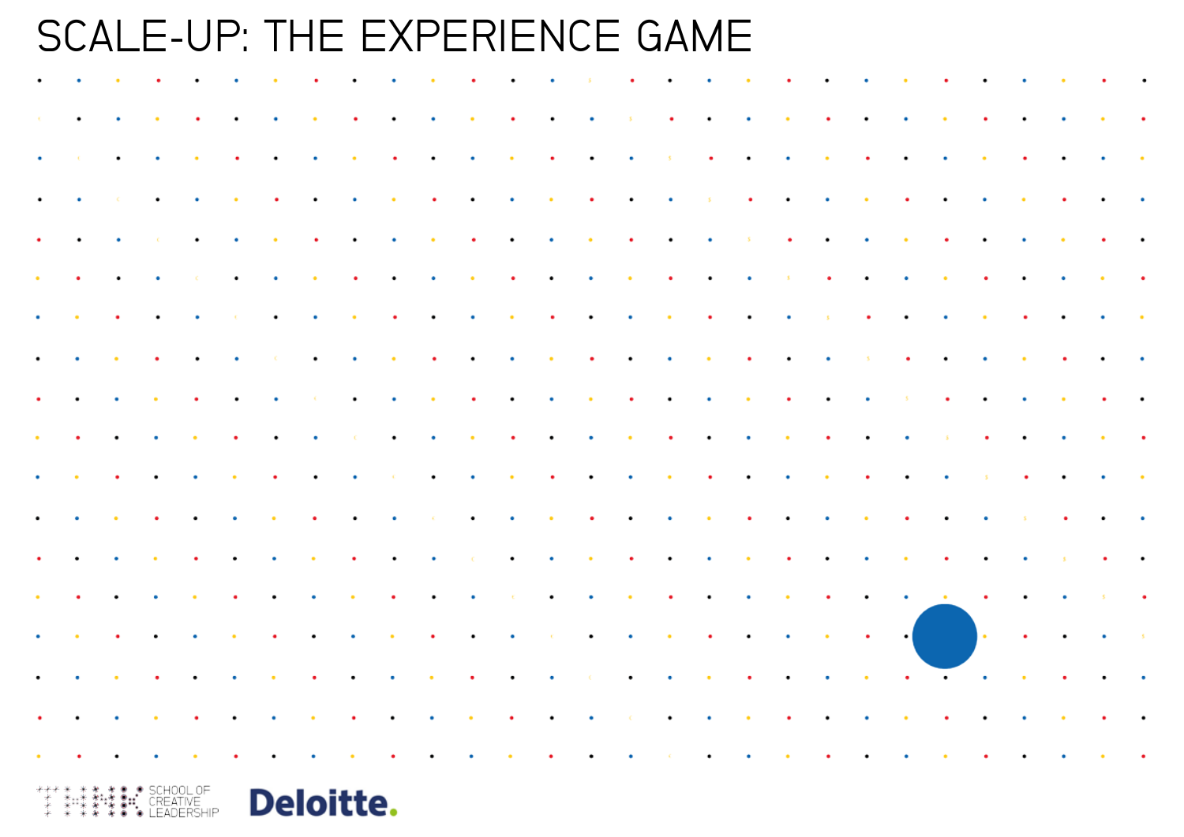# SCALE-UP: THE EXPERIENCE GAME

|  |  |  |  |  |  |  |  | <b>Contract Contract Contract</b> |  |  |  |                                                                                                                       |                                                                                                                        |  |
|--|--|--|--|--|--|--|--|-----------------------------------|--|--|--|-----------------------------------------------------------------------------------------------------------------------|------------------------------------------------------------------------------------------------------------------------|--|
|  |  |  |  |  |  |  |  |                                   |  |  |  | المستحقق والمستحقق والمستحقق والمستحقق والمستحقق والمستحقق والمستحقق والمستحقق والمستحقق والمستحقق والمستحقق والمستحق |                                                                                                                        |  |
|  |  |  |  |  |  |  |  |                                   |  |  |  |                                                                                                                       | المنافر والمستحقق والمستحقق والمستحقق والمستحقق والمستحقق والمستحقق والمستحقق والمستحقق والمستحقق والمستحقق والمستحق   |  |
|  |  |  |  |  |  |  |  |                                   |  |  |  |                                                                                                                       | المنافذ والمستحدث والمستحدث والمستحدث والمستحدث والمستحدث والمستحدث والمستحدث والمستحدث والمستحدث والمستحدث والمستحد   |  |
|  |  |  |  |  |  |  |  |                                   |  |  |  |                                                                                                                       | and the company of the company of the company of the company of the company of the company of the company of the       |  |
|  |  |  |  |  |  |  |  |                                   |  |  |  |                                                                                                                       | المنافر المنافر المنافر المنافر المنافر المنافر المنافر المنافر المنافر المنافر المنافر المنافر المنافر المنافر        |  |
|  |  |  |  |  |  |  |  |                                   |  |  |  |                                                                                                                       | والمستحدث والمستحيل والمستحدث والمستحدث والمستحدث والمستحدث والمستحدث والمستحدث والمستحدث والمستحدث والمستحدث          |  |
|  |  |  |  |  |  |  |  |                                   |  |  |  |                                                                                                                       | المستحقق والمستحقق والمستحقق والمستحقق والمستحقق والمستحقق والمستحقق والمتناول والمتحال والمتحال والمستحقق والمستحق    |  |
|  |  |  |  |  |  |  |  |                                   |  |  |  |                                                                                                                       | and the contract of the contract of the contract of the contract of the contract of the contract of the contract of    |  |
|  |  |  |  |  |  |  |  |                                   |  |  |  |                                                                                                                       | المنافر والمستحدث والمستحدث والمستحدث والمستحدث والمستحدث والمستحدث والمستحدث والمستحدث والمستحدث والمستحدث والمستحد   |  |
|  |  |  |  |  |  |  |  |                                   |  |  |  |                                                                                                                       | المنافر والمستنقل والمستنقل والمستنقل والمستنقل والمستنقل والمستنقل والمستنقل والمستنقل والمستنقل والمستنقل والمستنق   |  |
|  |  |  |  |  |  |  |  |                                   |  |  |  |                                                                                                                       | المستحدث والمستحدث والمستحدث والمستحدث والمستحدث والمستحدث والمستحدث والمستحدث والمستحدث والمستحدث والمستحدث والمستحدث |  |
|  |  |  |  |  |  |  |  |                                   |  |  |  |                                                                                                                       | and the second contract of the second contract of the second contract of the second contract of the second contract of |  |
|  |  |  |  |  |  |  |  |                                   |  |  |  |                                                                                                                       | المناور والمستنقص والمستنقص والمستنقص والمستنقص والمستنقص والمستنقص والمستنقص والمستنقص والمستنقص والمستنقص والمستنقص  |  |
|  |  |  |  |  |  |  |  |                                   |  |  |  |                                                                                                                       |                                                                                                                        |  |
|  |  |  |  |  |  |  |  |                                   |  |  |  |                                                                                                                       | <u> 2008 - Andrea Stein, Amerikaansk politiker († 18</u>                                                               |  |
|  |  |  |  |  |  |  |  |                                   |  |  |  |                                                                                                                       | المستحقق والمستحقق والمستحقق والمستحقق والمستحقق والمستحقق والمستحقق والمستحقق والمستحقق والمستحقق والمستحقق والمستحق  |  |
|  |  |  |  |  |  |  |  |                                   |  |  |  |                                                                                                                       | والتواصل والوالد والمتناول المتناول والمتناول المتناول المتناول والمتناول والمتناول والمتناول والمتناول والتناول       |  |

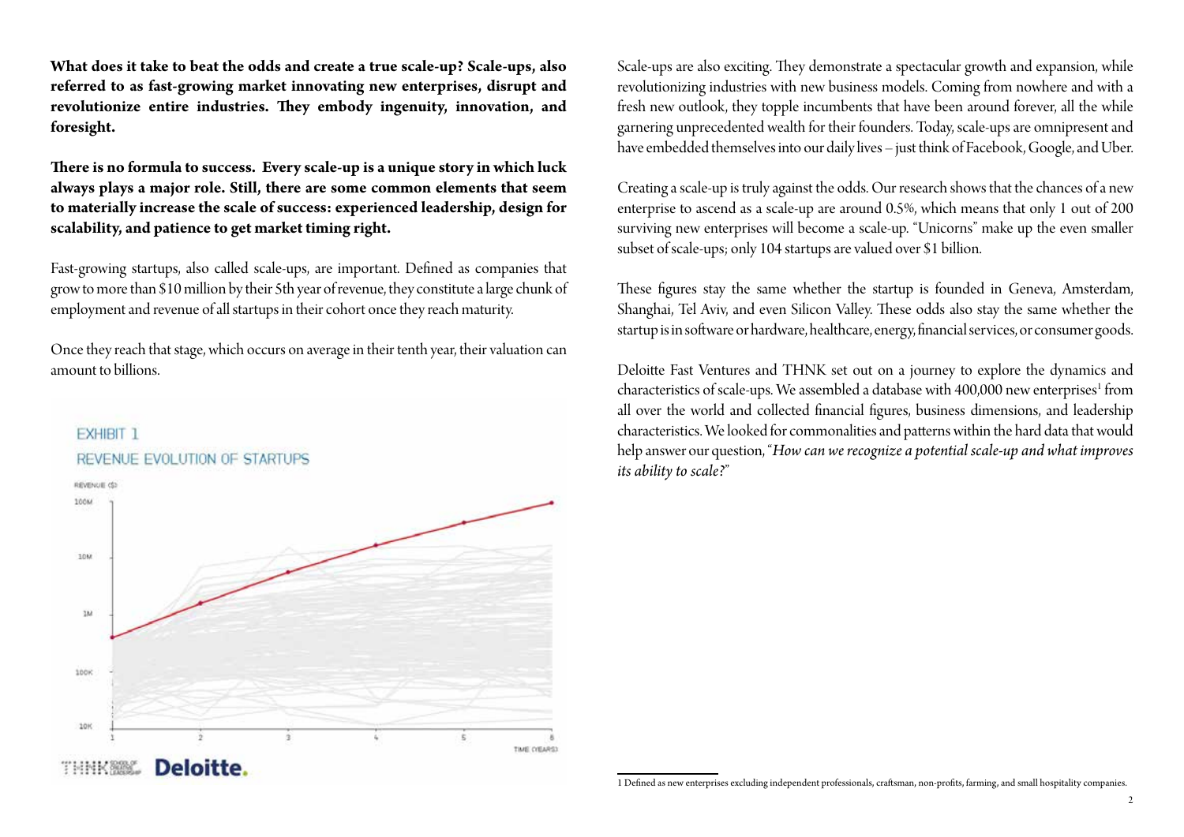**What does it take to beat the odds and create a true scale-up? Scale-ups, also referred to as fast-growing market innovating new enterprises, disrupt and revolutionize entire industries. They embody ingenuity, innovation, and foresight.**

**There is no formula to success. Every scale-up is a unique story in which luck always plays a major role. Still, there are some common elements that seem to materially increase the scale of success: experienced leadership, design for scalability, and patience to get market timing right.**

Fast-growing startups, also called scale-ups, are important. Defined as companies that grow to more than \$10 million by their 5th year of revenue, they constitute a large chunk of employment and revenue of all startups in their cohort once they reach maturity.

Once they reach that stage, which occurs on average in their tenth year, their valuation can amount to billions.

**EXHIBIT 1** 



Scale-ups are also exciting. They demonstrate a spectacular growth and expansion, while revolutionizing industries with new business models. Coming from nowhere and with a fresh new outlook, they topple incumbents that have been around forever, all the while garnering unprecedented wealth for their founders. Today, scale-ups are omnipresent and have embedded themselves into our daily lives – just think of Facebook, Google, and Uber.

Creating a scale-up is truly against the odds. Our research shows that the chances of a new enterprise to ascend as a scale-up are around 0.5%, which means that only 1 out of 200 surviving new enterprises will become a scale-up. "Unicorns" make up the even smaller subset of scale-ups; only 104 startups are valued over \$1 billion.

These figures stay the same whether the startup is founded in Geneva, Amsterdam, Shanghai, Tel Aviv, and even Silicon Valley. These odds also stay the same whether the startup is in software or hardware, healthcare, energy, financial services, or consumer goods.

Deloitte Fast Ventures and THNK set out on a journey to explore the dynamics and characteristics of scale-ups. We assembled a database with 400,000 new enterprises<sup>1</sup> from all over the world and collected financial figures, business dimensions, and leadership characteristics. We looked for commonalities and patterns within the hard data that would help answer our question, "*How can we recognize a potential scale-up and what improves its ability to scale?*"

 $\overline{2}$ 

<sup>1</sup> Defined as new enterprises excluding independent professionals, craftsman, non-profits, farming, and small hospitality companies.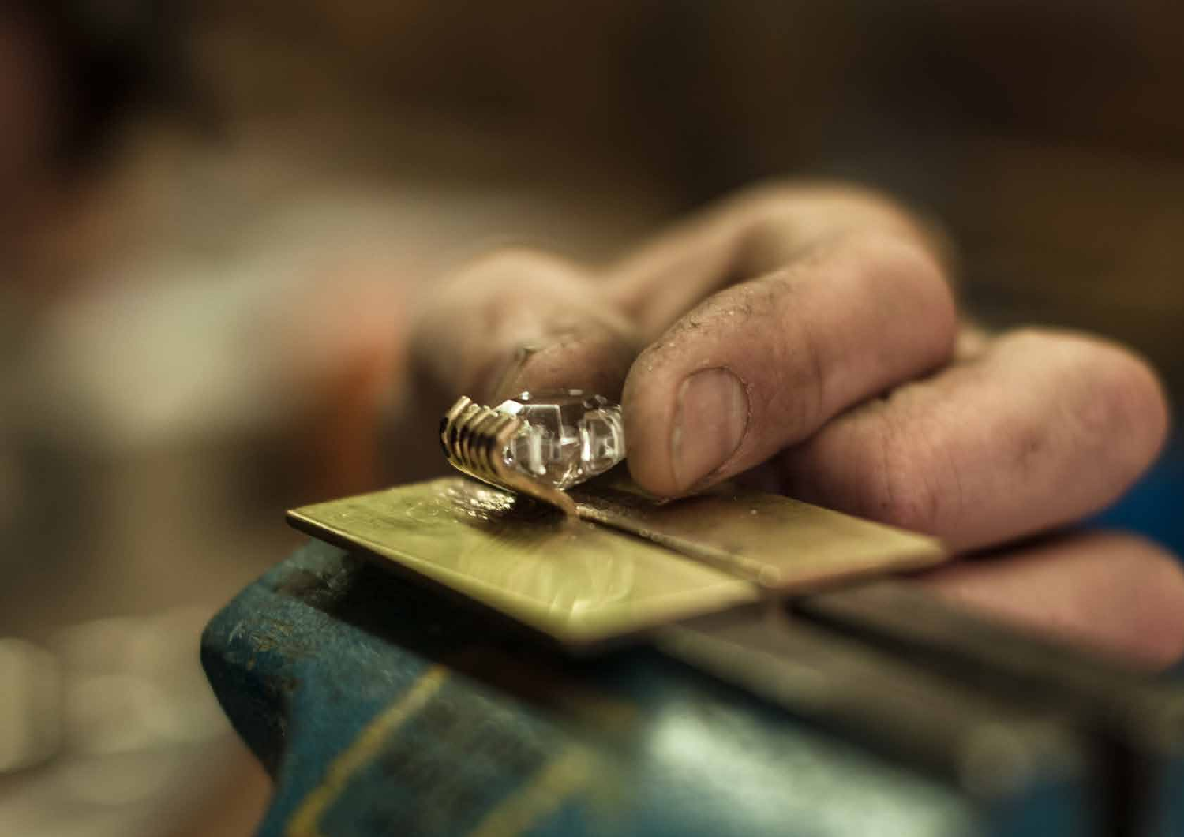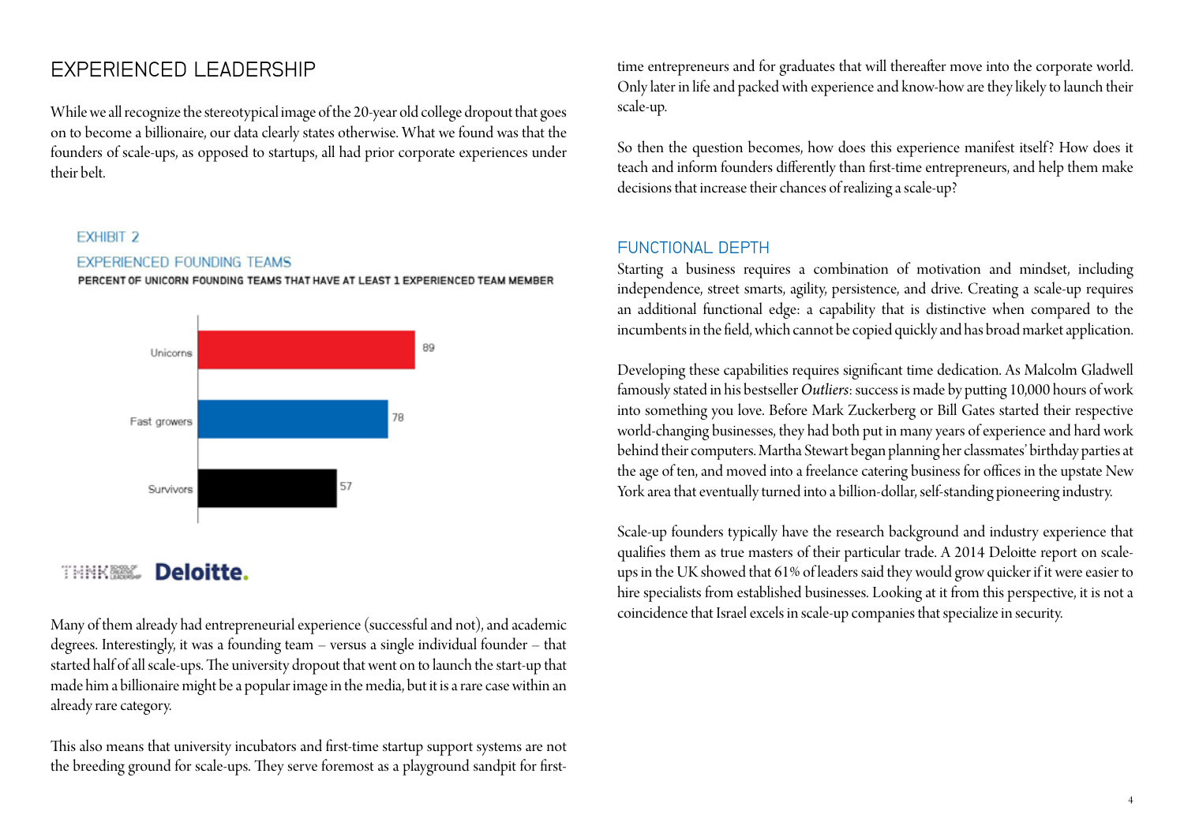## EXPERIENCED LEADERSHIP

While we all recognize the stereotypical image of the 20-year old college dropout that goes on to become a billionaire, our data clearly states otherwise. What we found was that the founders of scale-ups, as opposed to startups, all had prior corporate experiences under their belt.

#### **EXHIBIT 2**

#### **EXPERIENCED FOUNDING TEAMS**

PERCENT OF UNICORN FOUNDING TEAMS THAT HAVE AT LEAST 1 EXPERIENCED TEAM MEMBER



#### Deloitte. THNK SEC

Many of them already had entrepreneurial experience (successful and not), and academic degrees. Interestingly, it was a founding team – versus a single individual founder – that started half of all scale-ups. The university dropout that went on to launch the start-up that made him a billionaire might be a popular image in the media, but it is a rare case within an already rare category.

This also means that university incubators and first-time startup support systems are not the breeding ground for scale-ups. They serve foremost as a playground sandpit for firsttime entrepreneurs and for graduates that will thereafter move into the corporate world. Only later in life and packed with experience and know-how are they likely to launch their scale-up.

So then the question becomes, how does this experience manifest itself? How does it teach and inform founders differently than first-time entrepreneurs, and help them make decisions that increase their chances of realizing a scale-up?

#### FUNCTIONAL DEPTH

Starting a business requires a combination of motivation and mindset, including independence, street smarts, agility, persistence, and drive. Creating a scale-up requires an additional functional edge: a capability that is distinctive when compared to the incumbents in the field, which cannot be copied quickly and has broad market application.

Developing these capabilities requires significant time dedication. As Malcolm Gladwell famously stated in his bestseller *Outliers*: success is made by putting 10,000 hours of work into something you love. Before Mark Zuckerberg or Bill Gates started their respective world-changing businesses, they had both put in many years of experience and hard work behind their computers. Martha Stewart began planning her classmates' birthday parties at the age of ten, and moved into a freelance catering business for offices in the upstate New York area that eventually turned into a billion-dollar, self-standing pioneering industry.

Scale-up founders typically have the research background and industry experience that qualifies them as true masters of their particular trade. A 2014 Deloitte report on scaleups in the UK showed that 61% of leaders said they would grow quicker if it were easier to hire specialists from established businesses. Looking at it from this perspective, it is not a coincidence that Israel excels in scale-up companies that specialize in security.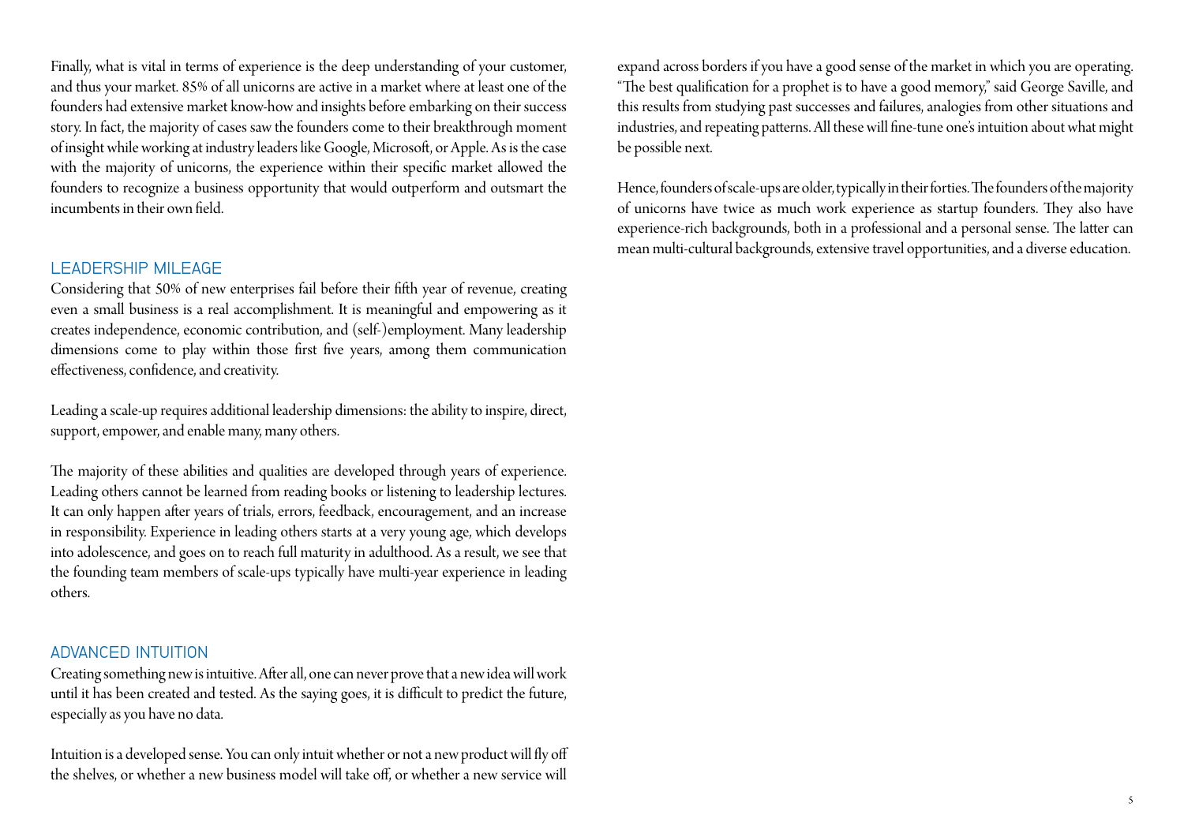Finally, what is vital in terms of experience is the deep understanding of your customer, and thus your market. 85% of all unicorns are active in a market where at least one of the founders had extensive market know-how and insights before embarking on their success story. In fact, the majority of cases saw the founders come to their breakthrough moment of insight while working at industry leaders like Google, Microsoft, or Apple. As is the case with the majority of unicorns, the experience within their specific market allowed the founders to recognize a business opportunity that would outperform and outsmart the incumbents in their own field.

#### LEADERSHIP MILEAGE

Considering that 50% of new enterprises fail before their fifth year of revenue, creating even a small business is a real accomplishment. It is meaningful and empowering as it creates independence, economic contribution, and (self-)employment. Many leadership dimensions come to play within those first five years, among them communication effectiveness, confidence, and creativity.

Leading a scale-up requires additional leadership dimensions: the ability to inspire, direct, support, empower, and enable many, many others.

The majority of these abilities and qualities are developed through years of experience. Leading others cannot be learned from reading books or listening to leadership lectures. It can only happen after years of trials, errors, feedback, encouragement, and an increase in responsibility. Experience in leading others starts at a very young age, which develops into adolescence, and goes on to reach full maturity in adulthood. As a result, we see that the founding team members of scale-ups typically have multi-year experience in leading others.

#### ADVANCED INTUITION

Creating something new is intuitive. After all, one can never prove that a new idea will work until it has been created and tested. As the saying goes, it is difficult to predict the future, especially as you have no data.

Intuition is a developed sense. You can only intuit whether or not a new product will fly off the shelves, or whether a new business model will take off, or whether a new service will

expand across borders if you have a good sense of the market in which you are operating. "The best qualification for a prophet is to have a good memory," said George Saville, and this results from studying past successes and failures, analogies from other situations and industries, and repeating patterns. All these will fine-tune one's intuition about what might be possible next.

Hence, founders of scale-ups are older, typically in their forties. The founders of the majority of unicorns have twice as much work experience as startup founders. They also have experience-rich backgrounds, both in a professional and a personal sense. The latter can mean multi-cultural backgrounds, extensive travel opportunities, and a diverse education.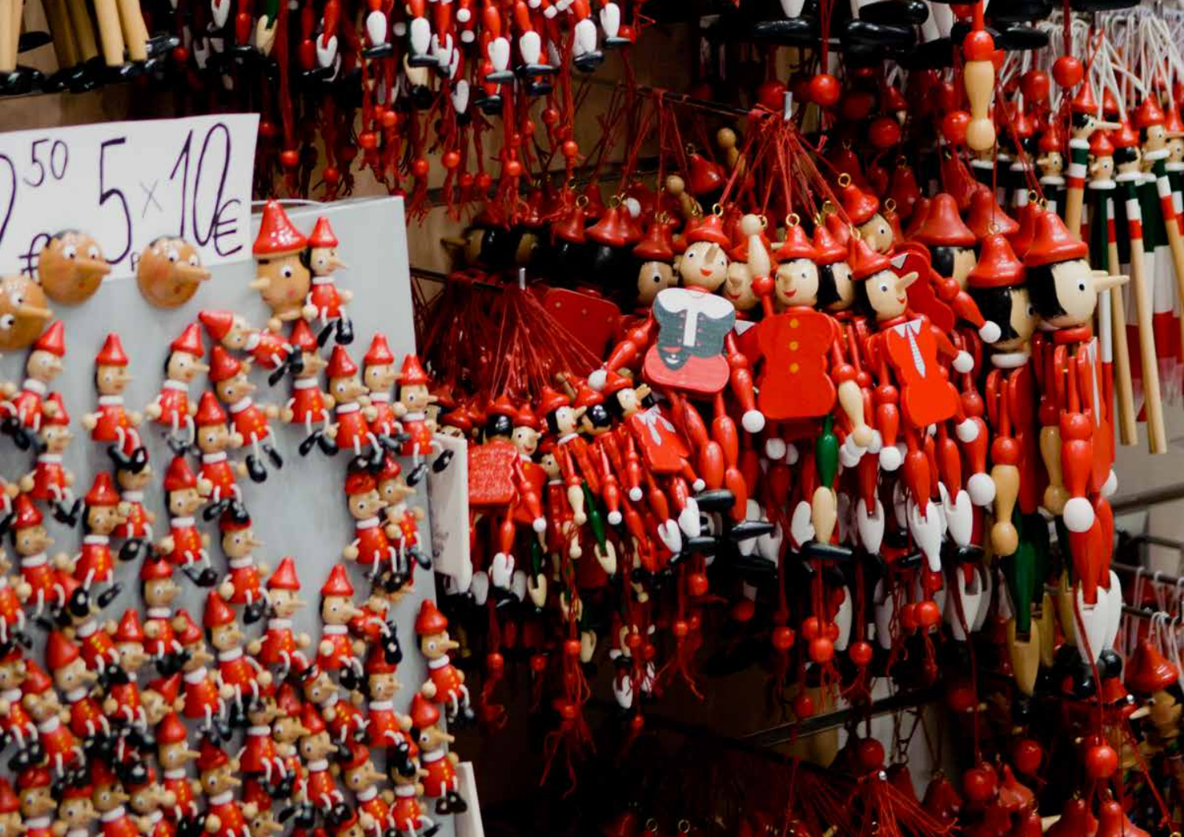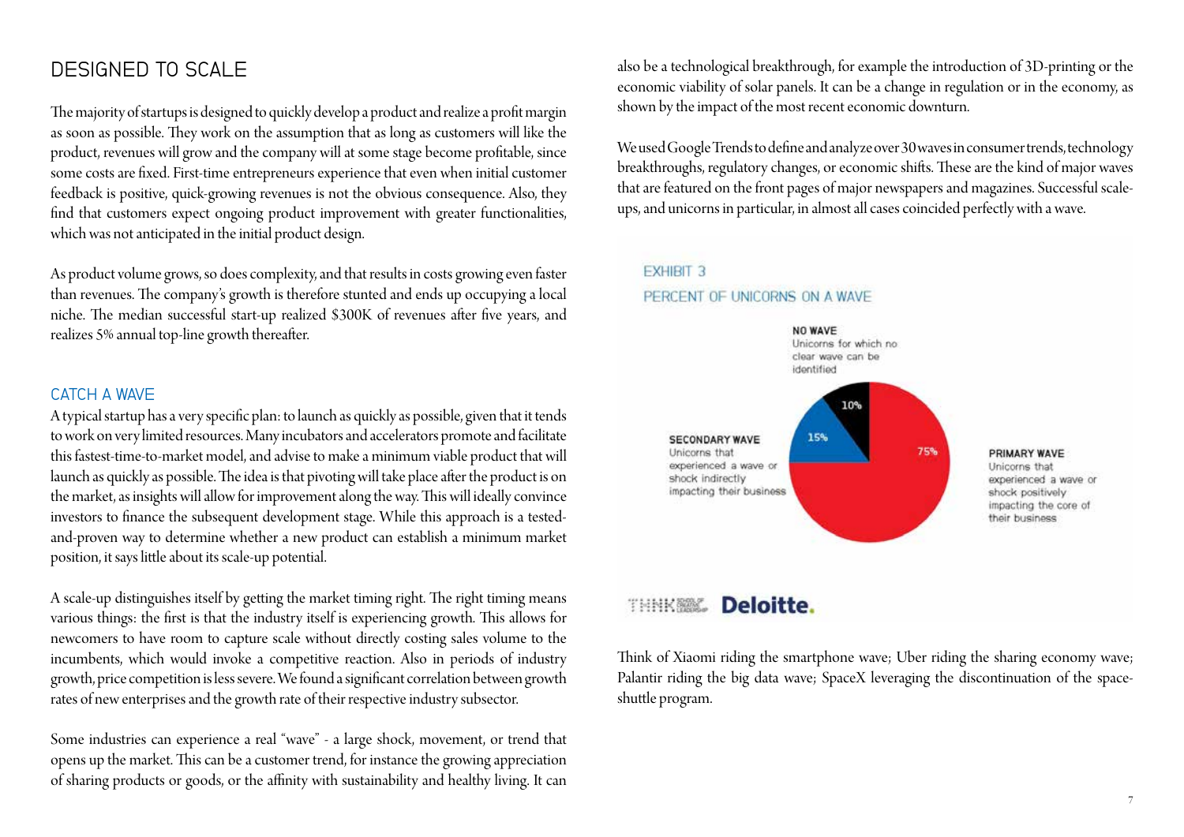## DESIGNED TO SCALE

The majority of startups is designed to quickly develop a product and realize a profit margin as soon as possible. They work on the assumption that as long as customers will like the product, revenues will grow and the company will at some stage become profitable, since some costs are fixed. First-time entrepreneurs experience that even when initial customer feedback is positive, quick-growing revenues is not the obvious consequence. Also, they find that customers expect ongoing product improvement with greater functionalities, which was not anticipated in the initial product design.

As product volume grows, so does complexity, and that results in costs growing even faster than revenues. The company's growth is therefore stunted and ends up occupying a local niche. The median successful start-up realized \$300K of revenues after five years, and realizes 5% annual top-line growth thereafter.

#### CATCH A WAVE

A typical startup has a very specific plan: to launch as quickly as possible, given that it tends to work on very limited resources. Many incubators and accelerators promote and facilitate this fastest-time-to-market model, and advise to make a minimum viable product that will launch as quickly as possible. The idea is that pivoting will take place after the product is on the market, as insights will allow for improvement along the way. This will ideally convince investors to finance the subsequent development stage. While this approach is a testedand-proven way to determine whether a new product can establish a minimum market position, it says little about its scale-up potential.

A scale-up distinguishes itself by getting the market timing right. The right timing means various things: the first is that the industry itself is experiencing growth. This allows for newcomers to have room to capture scale without directly costing sales volume to the incumbents, which would invoke a competitive reaction. Also in periods of industry growth, price competition is less severe. We found a significant correlation between growth rates of new enterprises and the growth rate of their respective industry subsector.

Some industries can experience a real "wave" - a large shock, movement, or trend that opens up the market. This can be a customer trend, for instance the growing appreciation of sharing products or goods, or the affinity with sustainability and healthy living. It can

also be a technological breakthrough, for example the introduction of 3D-printing or the economic viability of solar panels. It can be a change in regulation or in the economy, as shown by the impact of the most recent economic downturn.

We used Google Trends to define and analyze over 30 waves in consumer trends, technology breakthroughs, regulatory changes, or economic shifts. These are the kind of major waves that are featured on the front pages of major newspapers and magazines. Successful scaleups, and unicorns in particular, in almost all cases coincided perfectly with a wave.

### **FXHIRIT 3** PERCENT OF UNICORNS ON A WAVE



#### Deloitte. THNR BBE

Think of Xiaomi riding the smartphone wave; Uber riding the sharing economy wave; Palantir riding the big data wave; SpaceX leveraging the discontinuation of the spaceshuttle program.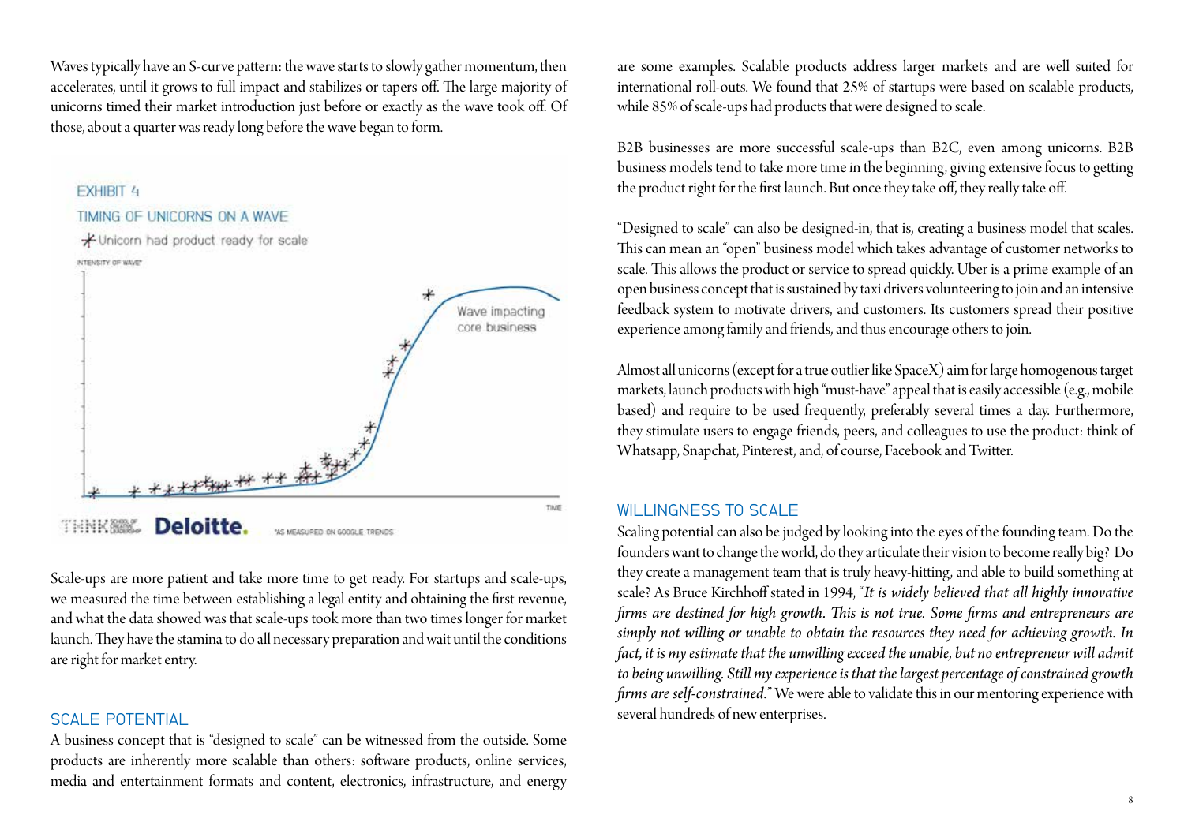Waves typically have an S-curve pattern: the wave starts to slowly gather momentum, then accelerates, until it grows to full impact and stabilizes or tapers off. The large majority of unicorns timed their market introduction just before or exactly as the wave took off. Of those, about a quarter was ready long before the wave began to form.



Scale-ups are more patient and take more time to get ready. For startups and scale-ups, we measured the time between establishing a legal entity and obtaining the first revenue, and what the data showed was that scale-ups took more than two times longer for market launch. They have the stamina to do all necessary preparation and wait until the conditions are right for market entry.

#### SCALE POTENTIAL

A business concept that is "designed to scale" can be witnessed from the outside. Some products are inherently more scalable than others: software products, online services, media and entertainment formats and content, electronics, infrastructure, and energy are some examples. Scalable products address larger markets and are well suited for international roll-outs. We found that 25% of startups were based on scalable products, while 85% of scale-ups had products that were designed to scale.

B2B businesses are more successful scale-ups than B2C, even among unicorns. B2B business models tend to take more time in the beginning, giving extensive focus to getting the product right for the first launch. But once they take off, they really take off.

"Designed to scale" can also be designed-in, that is, creating a business model that scales. This can mean an "open" business model which takes advantage of customer networks to scale. This allows the product or service to spread quickly. Uber is a prime example of an open business concept that is sustained by taxi drivers volunteering to join and an intensive feedback system to motivate drivers, and customers. Its customers spread their positive experience among family and friends, and thus encourage others to join.

Almost all unicorns (except for a true outlier like SpaceX) aim for large homogenous target markets, launch products with high "must-have" appeal that is easily accessible (e.g., mobile based) and require to be used frequently, preferably several times a day. Furthermore, they stimulate users to engage friends, peers, and colleagues to use the product: think of Whatsapp, Snapchat, Pinterest, and, of course, Facebook and Twitter.

#### WILLINGNESS TO SCALE

Scaling potential can also be judged by looking into the eyes of the founding team. Do the founders want to change the world, do they articulate their vision to become really big? Do they create a management team that is truly heavy-hitting, and able to build something at scale? As Bruce Kirchhoff stated in 1994, "*It is widely believed that all highly innovative firms are destined for high growth. This is not true. Some firms and entrepreneurs are simply not willing or unable to obtain the resources they need for achieving growth. In fact, it is my estimate that the unwilling exceed the unable, but no entrepreneur will admit to being unwilling. Still my experience is that the largest percentage of constrained growth firms are self-constrained.*" We were able to validate this in our mentoring experience with several hundreds of new enterprises.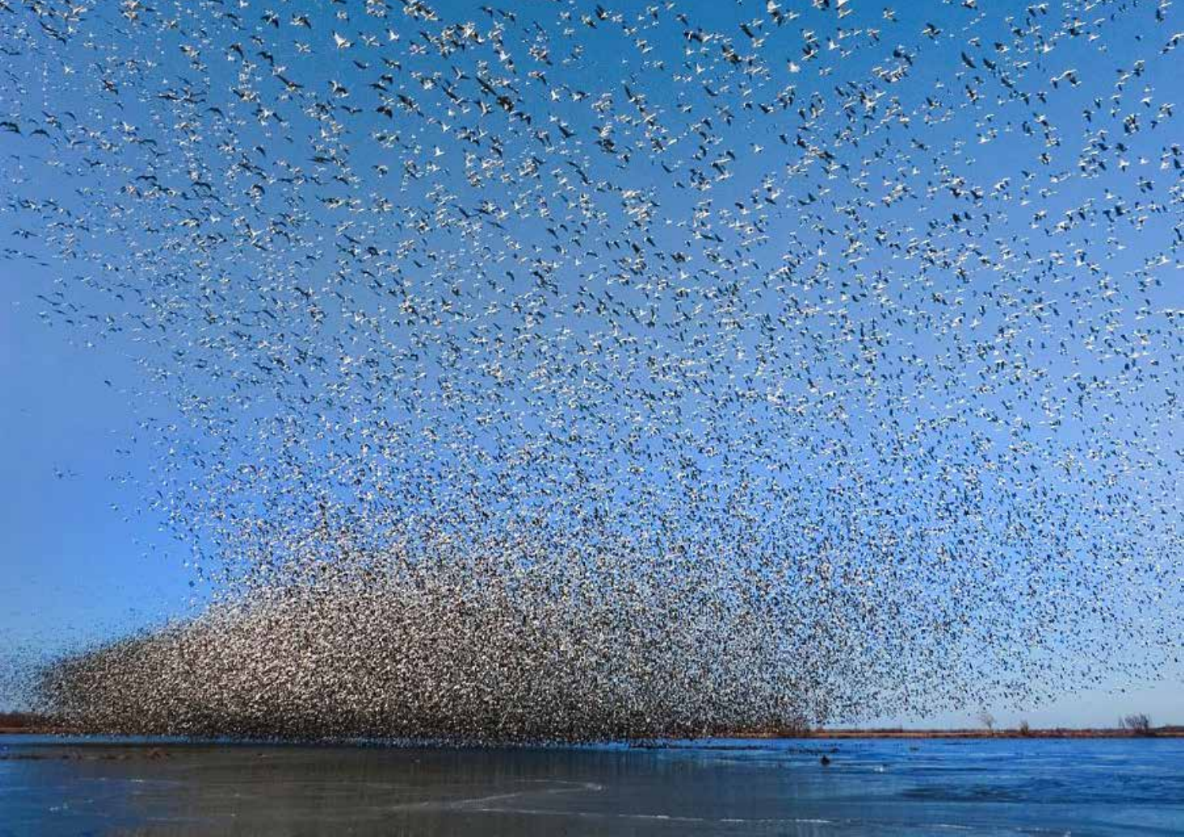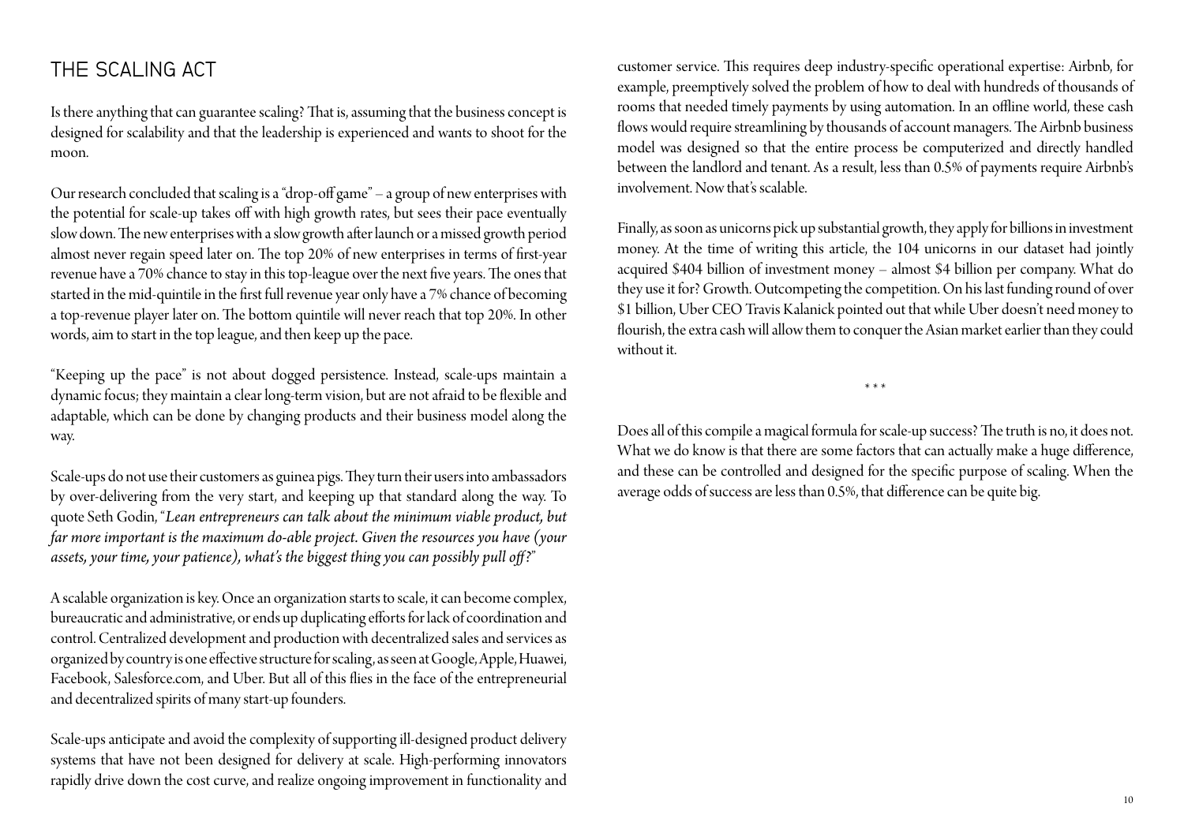## THE SCALING ACT

Is there anything that can guarantee scaling? That is, assuming that the business concept is designed for scalability and that the leadership is experienced and wants to shoot for the moon.

Our research concluded that scaling is a "drop-off game" – a group of new enterprises with the potential for scale-up takes off with high growth rates, but sees their pace eventually slow down. The new enterprises with a slow growth after launch or a missed growth period almost never regain speed later on. The top 20% of new enterprises in terms of first-year revenue have a 70% chance to stay in this top-league over the next five years. The ones that started in the mid-quintile in the first full revenue year only have a 7% chance of becoming a top-revenue player later on. The bottom quintile will never reach that top 20%. In other words, aim to start in the top league, and then keep up the pace.

"Keeping up the pace" is not about dogged persistence. Instead, scale-ups maintain a dynamic focus; they maintain a clear long-term vision, but are not afraid to be flexible and adaptable, which can be done by changing products and their business model along the way.

Scale-ups do not use their customers as guinea pigs. They turn their users into ambassadors by over-delivering from the very start, and keeping up that standard along the way. To quote Seth Godin, "*Lean entrepreneurs can talk about the minimum viable product, but far more important is the maximum do-able project. Given the resources you have (your assets, your time, your patience), what's the biggest thing you can possibly pull off?*"

A scalable organization is key. Once an organization starts to scale, it can become complex, bureaucratic and administrative, or ends up duplicating efforts for lack of coordination and control. Centralized development and production with decentralized sales and services as organized by country is one effective structure for scaling, as seen at Google, Apple, Huawei, Facebook, Salesforce.com, and Uber. But all of this flies in the face of the entrepreneurial and decentralized spirits of many start-up founders.

Scale-ups anticipate and avoid the complexity of supporting ill-designed product delivery systems that have not been designed for delivery at scale. High-performing innovators rapidly drive down the cost curve, and realize ongoing improvement in functionality and

customer service. This requires deep industry-specific operational expertise: Airbnb, for example, preemptively solved the problem of how to deal with hundreds of thousands of rooms that needed timely payments by using automation. In an offline world, these cash flows would require streamlining by thousands of account managers. The Airbnb business model was designed so that the entire process be computerized and directly handled between the landlord and tenant. As a result, less than 0.5% of payments require Airbnb's involvement. Now that's scalable.

Finally, as soon as unicorns pick up substantial growth, they apply for billions in investment money. At the time of writing this article, the 104 unicorns in our dataset had jointly acquired \$404 billion of investment money – almost \$4 billion per company. What do they use it for? Growth. Outcompeting the competition. On his last funding round of over \$1 billion, Uber CEO Travis Kalanick pointed out that while Uber doesn't need money to flourish, the extra cash will allow them to conquer the Asian market earlier than they could without it.

\* \* \*

Does all of this compile a magical formula for scale-up success? The truth is no, it does not. What we do know is that there are some factors that can actually make a huge difference, and these can be controlled and designed for the specific purpose of scaling. When the average odds of success are less than 0.5%, that difference can be quite big.